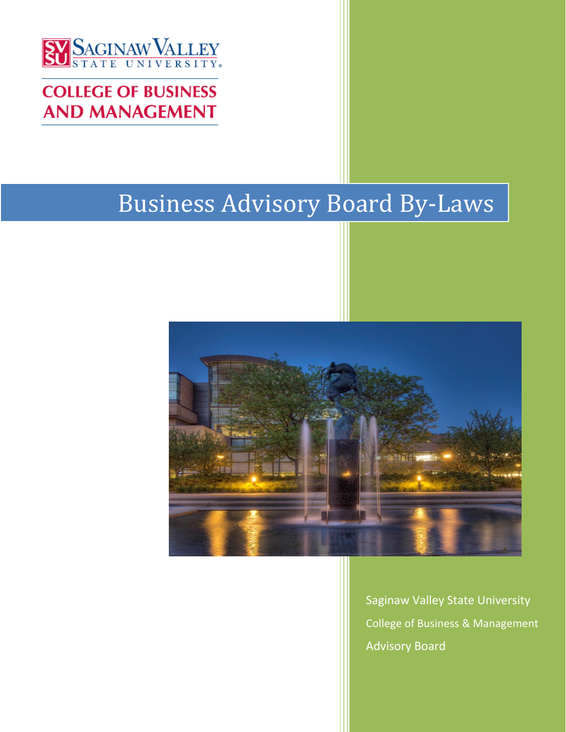

# **COLLEGE OF BUSINESS AND MANAGEMENT**

# Business Advisory Board By-Laws



Saginaw Valley State University College of Business & Management Advisory Board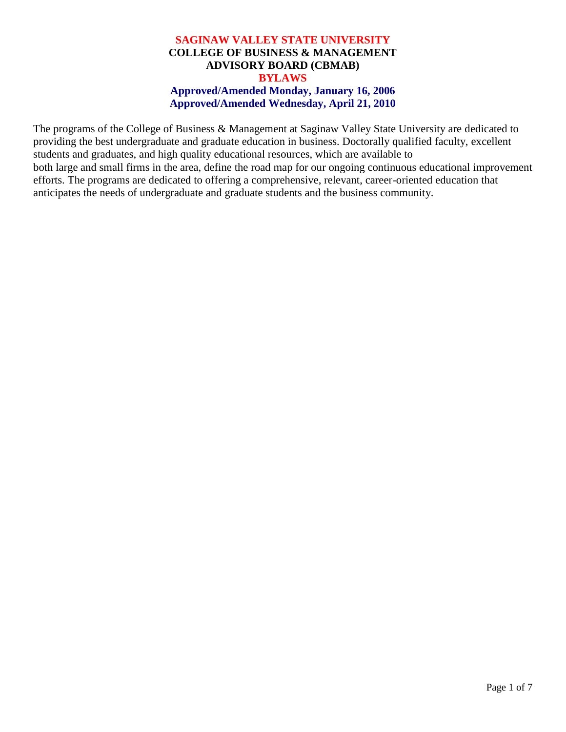#### **SAGINAW VALLEY STATE UNIVERSITY COLLEGE OF BUSINESS & MANAGEMENT ADVISORY BOARD (CBMAB) BYLAWS Approved/Amended Monday, January 16, 2006 Approved/Amended Wednesday, April 21, 2010**

The programs of the College of Business & Management at Saginaw Valley State University are dedicated to providing the best undergraduate and graduate education in business. Doctorally qualified faculty, excellent students and graduates, and high quality educational resources, which are available to both large and small firms in the area, define the road map for our ongoing continuous educational improvement efforts. The programs are dedicated to offering a comprehensive, relevant, career-oriented education that anticipates the needs of undergraduate and graduate students and the business community.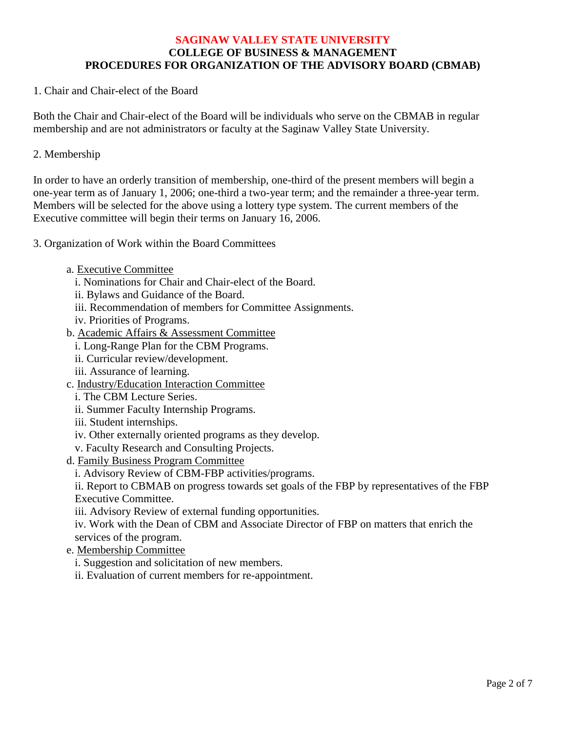#### **SAGINAW VALLEY STATE UNIVERSITY COLLEGE OF BUSINESS & MANAGEMENT PROCEDURES FOR ORGANIZATION OF THE ADVISORY BOARD (CBMAB)**

1. Chair and Chair-elect of the Board

Both the Chair and Chair-elect of the Board will be individuals who serve on the CBMAB in regular membership and are not administrators or faculty at the Saginaw Valley State University.

2. Membership

In order to have an orderly transition of membership, one-third of the present members will begin a one-year term as of January 1, 2006; one-third a two-year term; and the remainder a three-year term. Members will be selected for the above using a lottery type system. The current members of the Executive committee will begin their terms on January 16, 2006.

3. Organization of Work within the Board Committees

- a. Executive Committee
	- i. Nominations for Chair and Chair-elect of the Board.
	- ii. Bylaws and Guidance of the Board.
	- iii. Recommendation of members for Committee Assignments.
	- iv. Priorities of Programs.
- b. Academic Affairs & Assessment Committee
	- i. Long-Range Plan for the CBM Programs.
	- ii. Curricular review/development.
	- iii. Assurance of learning.
- c. Industry/Education Interaction Committee
	- i. The CBM Lecture Series.
	- ii. Summer Faculty Internship Programs.
	- iii. Student internships.
	- iv. Other externally oriented programs as they develop.
	- v. Faculty Research and Consulting Projects.
- d. Family Business Program Committee
	- i. Advisory Review of CBM-FBP activities/programs.

ii. Report to CBMAB on progress towards set goals of the FBP by representatives of the FBP Executive Committee.

iii. Advisory Review of external funding opportunities.

iv. Work with the Dean of CBM and Associate Director of FBP on matters that enrich the services of the program.

- e. Membership Committee
	- i. Suggestion and solicitation of new members.

ii. Evaluation of current members for re-appointment.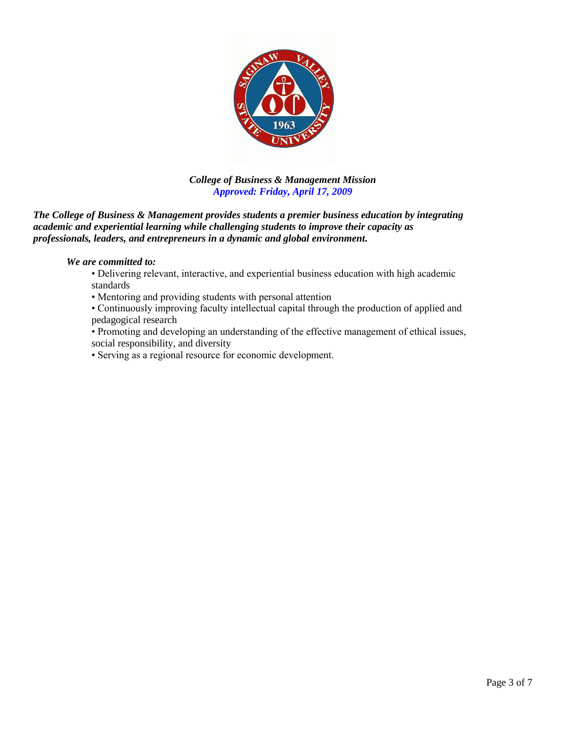

#### *College of Business & Management Mission Approved: Friday, April 17, 2009*

*The College of Business & Management provides students a premier business education by integrating academic and experiential learning while challenging students to improve their capacity as professionals, leaders, and entrepreneurs in a dynamic and global environment.*

#### *We are committed to:*

- Delivering relevant, interactive, and experiential business education with high academic standards
- Mentoring and providing students with personal attention
- Continuously improving faculty intellectual capital through the production of applied and pedagogical research
- Promoting and developing an understanding of the effective management of ethical issues, social responsibility, and diversity
- Serving as a regional resource for economic development.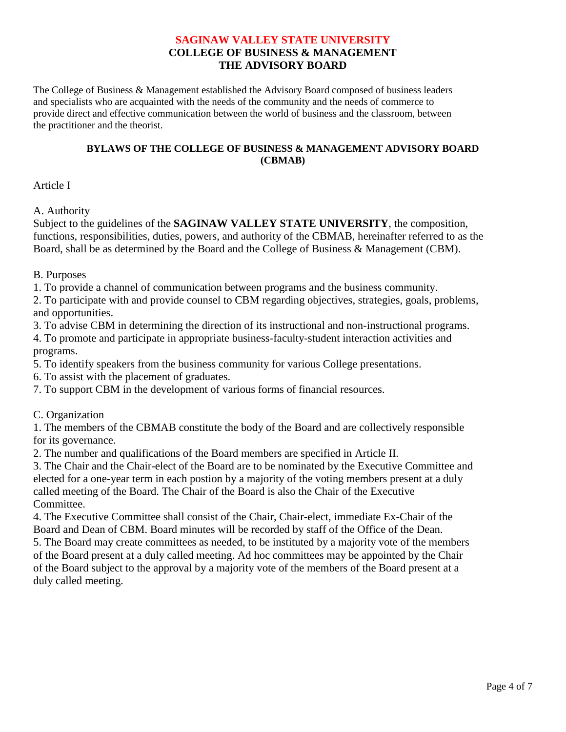#### **SAGINAW VALLEY STATE UNIVERSITY COLLEGE OF BUSINESS & MANAGEMENT THE ADVISORY BOARD**

The College of Business & Management established the Advisory Board composed of business leaders and specialists who are acquainted with the needs of the community and the needs of commerce to provide direct and effective communication between the world of business and the classroom, between the practitioner and the theorist.

#### **BYLAWS OF THE COLLEGE OF BUSINESS & MANAGEMENT ADVISORY BOARD (CBMAB)**

Article I

#### A. Authority

Subject to the guidelines of the **SAGINAW VALLEY STATE UNIVERSITY**, the composition, functions, responsibilities, duties, powers, and authority of the CBMAB, hereinafter referred to as the Board, shall be as determined by the Board and the College of Business & Management (CBM).

B. Purposes

1. To provide a channel of communication between programs and the business community.

2. To participate with and provide counsel to CBM regarding objectives, strategies, goals, problems, and opportunities.

3. To advise CBM in determining the direction of its instructional and non-instructional programs.

4. To promote and participate in appropriate business-faculty-student interaction activities and programs.

5. To identify speakers from the business community for various College presentations.

6. To assist with the placement of graduates.

7. To support CBM in the development of various forms of financial resources.

C. Organization

1. The members of the CBMAB constitute the body of the Board and are collectively responsible for its governance.

2. The number and qualifications of the Board members are specified in Article II.

3. The Chair and the Chair-elect of the Board are to be nominated by the Executive Committee and elected for a one-year term in each postion by a majority of the voting members present at a duly called meeting of the Board. The Chair of the Board is also the Chair of the Executive Committee.

4. The Executive Committee shall consist of the Chair, Chair-elect, immediate Ex-Chair of the Board and Dean of CBM. Board minutes will be recorded by staff of the Office of the Dean.

5. The Board may create committees as needed, to be instituted by a majority vote of the members of the Board present at a duly called meeting. Ad hoc committees may be appointed by the Chair of the Board subject to the approval by a majority vote of the members of the Board present at a duly called meeting.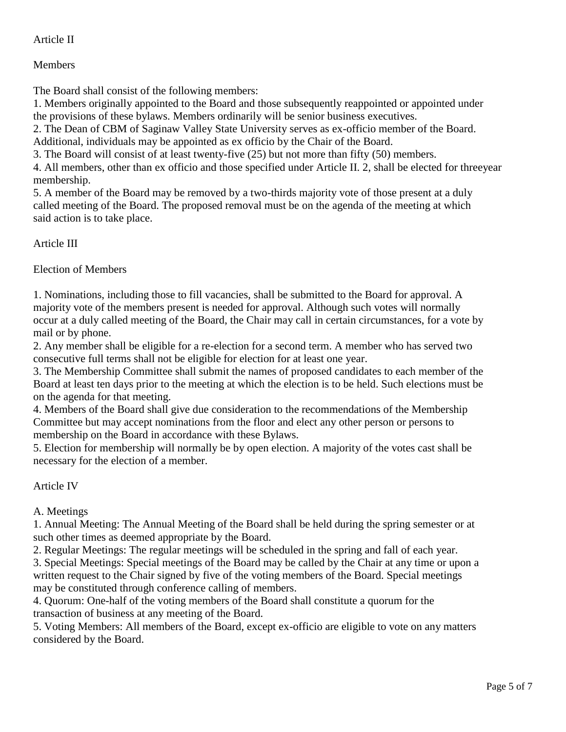## Article II

## Members

The Board shall consist of the following members:

1. Members originally appointed to the Board and those subsequently reappointed or appointed under the provisions of these bylaws. Members ordinarily will be senior business executives.

2. The Dean of CBM of Saginaw Valley State University serves as ex-officio member of the Board. Additional, individuals may be appointed as ex officio by the Chair of the Board.

3. The Board will consist of at least twenty-five (25) but not more than fifty (50) members.

4. All members, other than ex officio and those specified under Article II. 2, shall be elected for threeyear membership.

5. A member of the Board may be removed by a two-thirds majority vote of those present at a duly called meeting of the Board. The proposed removal must be on the agenda of the meeting at which said action is to take place.

# Article III

Election of Members

1. Nominations, including those to fill vacancies, shall be submitted to the Board for approval. A majority vote of the members present is needed for approval. Although such votes will normally occur at a duly called meeting of the Board, the Chair may call in certain circumstances, for a vote by mail or by phone.

2. Any member shall be eligible for a re-election for a second term. A member who has served two consecutive full terms shall not be eligible for election for at least one year.

3. The Membership Committee shall submit the names of proposed candidates to each member of the Board at least ten days prior to the meeting at which the election is to be held. Such elections must be on the agenda for that meeting.

4. Members of the Board shall give due consideration to the recommendations of the Membership Committee but may accept nominations from the floor and elect any other person or persons to membership on the Board in accordance with these Bylaws.

5. Election for membership will normally be by open election. A majority of the votes cast shall be necessary for the election of a member.

Article IV

## A. Meetings

1. Annual Meeting: The Annual Meeting of the Board shall be held during the spring semester or at such other times as deemed appropriate by the Board.

2. Regular Meetings: The regular meetings will be scheduled in the spring and fall of each year.

3. Special Meetings: Special meetings of the Board may be called by the Chair at any time or upon a written request to the Chair signed by five of the voting members of the Board. Special meetings may be constituted through conference calling of members.

4. Quorum: One-half of the voting members of the Board shall constitute a quorum for the transaction of business at any meeting of the Board.

5. Voting Members: All members of the Board, except ex-officio are eligible to vote on any matters considered by the Board.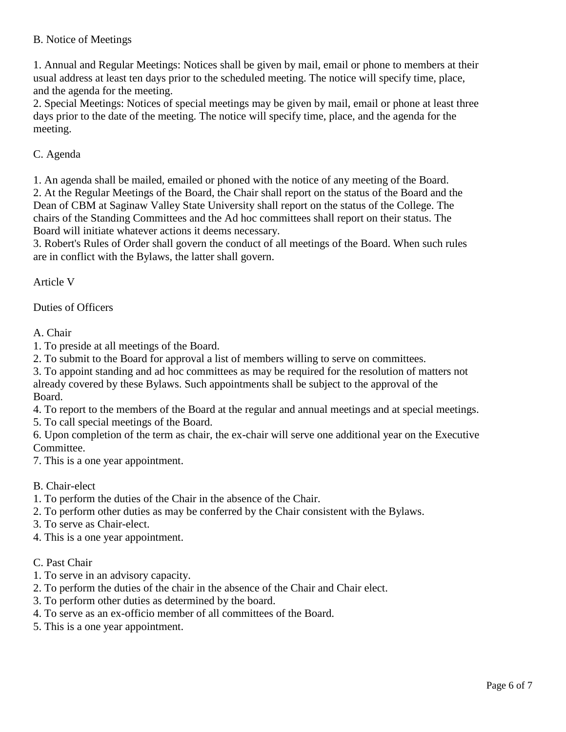#### B. Notice of Meetings

1. Annual and Regular Meetings: Notices shall be given by mail, email or phone to members at their usual address at least ten days prior to the scheduled meeting. The notice will specify time, place, and the agenda for the meeting.

2. Special Meetings: Notices of special meetings may be given by mail, email or phone at least three days prior to the date of the meeting. The notice will specify time, place, and the agenda for the meeting.

#### C. Agenda

1. An agenda shall be mailed, emailed or phoned with the notice of any meeting of the Board.

2. At the Regular Meetings of the Board, the Chair shall report on the status of the Board and the Dean of CBM at Saginaw Valley State University shall report on the status of the College. The chairs of the Standing Committees and the Ad hoc committees shall report on their status. The Board will initiate whatever actions it deems necessary.

3. Robert's Rules of Order shall govern the conduct of all meetings of the Board. When such rules are in conflict with the Bylaws, the latter shall govern.

Article V

Duties of Officers

A. Chair

1. To preside at all meetings of the Board.

2. To submit to the Board for approval a list of members willing to serve on committees.

3. To appoint standing and ad hoc committees as may be required for the resolution of matters not already covered by these Bylaws. Such appointments shall be subject to the approval of the Board.

4. To report to the members of the Board at the regular and annual meetings and at special meetings.

5. To call special meetings of the Board.

6. Upon completion of the term as chair, the ex-chair will serve one additional year on the Executive Committee.

7. This is a one year appointment.

B. Chair-elect

1. To perform the duties of the Chair in the absence of the Chair.

2. To perform other duties as may be conferred by the Chair consistent with the Bylaws.

3. To serve as Chair-elect.

4. This is a one year appointment.

C. Past Chair

- 1. To serve in an advisory capacity.
- 2. To perform the duties of the chair in the absence of the Chair and Chair elect.
- 3. To perform other duties as determined by the board.
- 4. To serve as an ex-officio member of all committees of the Board.
- 5. This is a one year appointment.